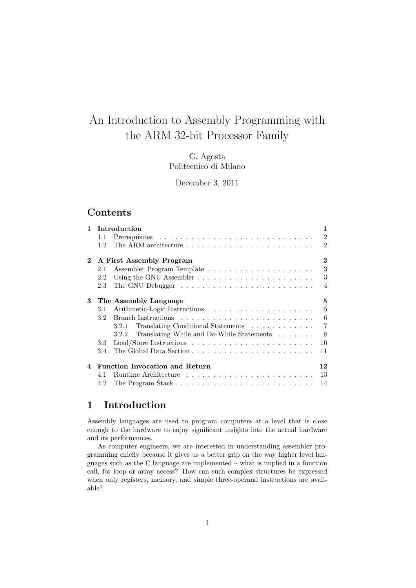# An Introduction to Assembly Programming with the ARM 32-bit Processor Family

G. Agosta Politecnico di Milano

December 3, 2011

# Contents

| $\mathbf{1}$ | Introduction                                       | 1                |
|--------------|----------------------------------------------------|------------------|
|              | 1.1                                                | $\overline{2}$   |
|              | 1.2 <sub>1</sub>                                   | $\overline{2}$   |
| $\mathbf{2}$ | A First Assembly Program                           | 3                |
|              | 2.1                                                | 3                |
|              | 2.2                                                | 3                |
|              | 2.3                                                | $\overline{4}$   |
| 3            | The Assembly Language                              | 5                |
|              | 3.1                                                | $\overline{5}$   |
|              | 3.2 <sub>1</sub>                                   | $\boldsymbol{6}$ |
|              | 3.2.1 Translating Conditional Statements           | $\overline{7}$   |
|              | Translating While and Do-While Statements<br>3.2.2 | $-8$             |
|              | 3.3                                                | 10               |
|              | 3.4                                                | 11               |
| $\mathbf 4$  | <b>Function Invocation and Return</b>              | 12               |
|              | 4.1                                                | 13               |
|              | 4.2                                                | 14               |

# 1 Introduction

Assembly languages are used to program computers at a level that is close enough to the hardware to enjoy significant insights into the actual hardware and its performances.

As computer engineers, we are interested in understanding assembler programming chiefly because it gives us a better grip on the way higher level languages such as the C language are implemented – what is implied in a function call, for loop or array access? How can such complex structures be expressed when only registers, memory, and simple three-operand instructions are available?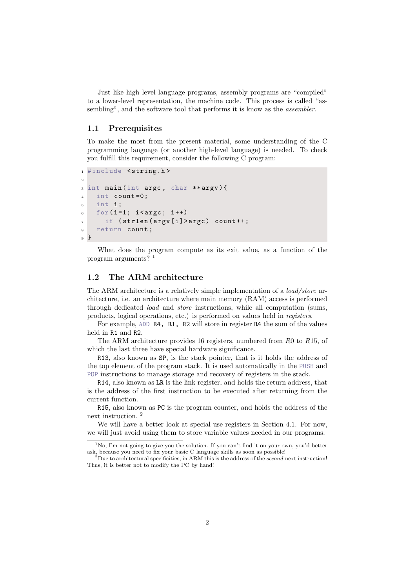Just like high level language programs, assembly programs are "compiled" to a lower-level representation, the machine code. This process is called "assembling", and the software tool that performs it is know as the *assembler*.

### 1.1 Prerequisites

To make the most from the present material, some understanding of the C programming language (or another high-level language) is needed. To check you fulfill this requirement, consider the following C program:

```
1 #include <string.h>
2
3 int main (int argc , char ** argv ) {
4 int count=0;
5 int i ;
6 for (i=1; i < argc; i + +)
      if (strlen (argv [i] > argc) count ++;
8 return count ;
9 }
```
What does the program compute as its exit value, as a function of the program arguments? <sup>1</sup>

### 1.2 The ARM architecture

The ARM architecture is a relatively simple implementation of a *load/store* architecture, i.e. an architecture where main memory (RAM) access is performed through dedicated load and store instructions, while all computation (sums, products, logical operations, etc.) is performed on values held in registers.

For example, ADD R4, R1, R2 will store in register R4 the sum of the values held in R1 and R2.

The ARM architecture provides 16 registers, numbered from R0 to R15, of which the last three have special hardware significance.

R13, also known as SP, is the stack pointer, that is it holds the address of the top element of the program stack. It is used automatically in the PUSH and POP instructions to manage storage and recovery of registers in the stack.

R14, also known as LR is the link register, and holds the return address, that is the address of the first instruction to be executed after returning from the current function.

R15, also known as PC is the program counter, and holds the address of the next instruction. <sup>2</sup>

We will have a better look at special use registers in Section 4.1. For now, we will just avoid using them to store variable values needed in our programs.

 $1$ No, I'm not going to give you the solution. If you can't find it on your own, you'd better ask, because you need to fix your basic C language skills as soon as possible!

<sup>&</sup>lt;sup>2</sup>Due to architectural specificities, in ARM this is the address of the *second* next instruction! Thus, it is better not to modify the PC by hand!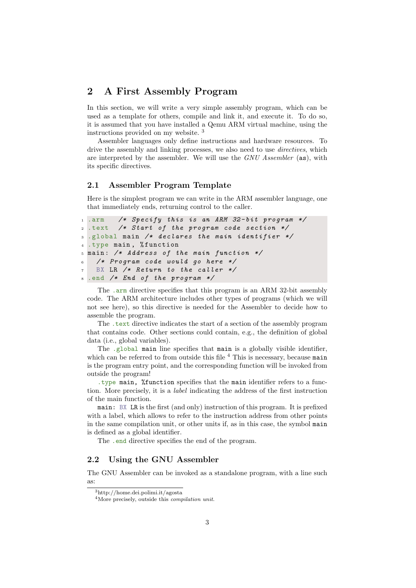# 2 A First Assembly Program

In this section, we will write a very simple assembly program, which can be used as a template for others, compile and link it, and execute it. To do so, it is assumed that you have installed a Qemu ARM virtual machine, using the instructions provided on my website. <sup>3</sup>

Assembler languages only define instructions and hardware resources. To drive the assembly and linking processes, we also need to use *directives*, which are interpreted by the assembler. We will use the GNU Assembler (as), with its specific directives.

### 2.1 Assembler Program Template

Here is the simplest program we can write in the ARM assembler language, one that immediately ends, returning control to the caller.

```
1 .arm /* Specify this is an ARM 32-bit program
2 .text /* Start of the program code section */
_3 .global main /* declares the main identifier */
 .type main, %function
 main: /* Address of the main function *//* Program code would go here */BX LR /* Return to the caller */.end /* End of the program */
```
The .arm directive specifies that this program is an ARM 32-bit assembly code. The ARM architecture includes other types of programs (which we will not see here), so this directive is needed for the Assembler to decide how to assemble the program.

The .text directive indicates the start of a section of the assembly program that contains code. Other sections could contain, e.g., the definition of global data (i.e., global variables).

The .global main line specifies that main is a globally visible identifier, which can be referred to from outside this file  $<sup>4</sup>$  This is necessary, because main</sup> is the program entry point, and the corresponding function will be invoked from outside the program!

.type main, %function specifies that the main identifier refers to a function. More precisely, it is a label indicating the address of the first instruction of the main function.

main: BX LR is the first (and only) instruction of this program. It is prefixed with a label, which allows to refer to the instruction address from other points in the same compilation unit, or other units if, as in this case, the symbol main is defined as a global identifier.

The .end directive specifies the end of the program.

### 2.2 Using the GNU Assembler

The GNU Assembler can be invoked as a standalone program, with a line such as:

<sup>3</sup>http://home.dei.polimi.it/agosta

<sup>4</sup>More precisely, outside this compilation unit.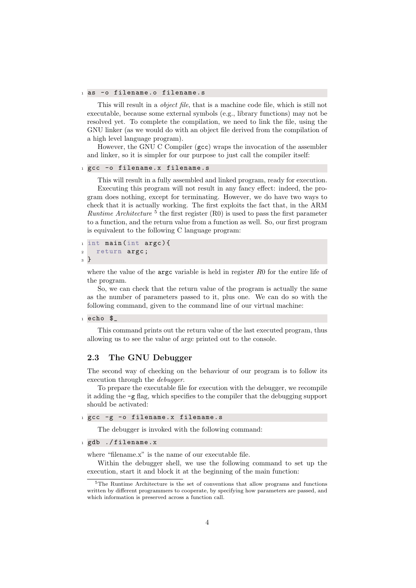#### 1 as -o filename.o filename.s

This will result in a *object file*, that is a machine code file, which is still not executable, because some external symbols (e.g., library functions) may not be resolved yet. To complete the compilation, we need to link the file, using the GNU linker (as we would do with an object file derived from the compilation of a high level language program).

However, the GNU C Compiler (gcc) wraps the invocation of the assembler and linker, so it is simpler for our purpose to just call the compiler itself:

```
1 gcc -o filename.x filename.s
```
This will result in a fully assembled and linked program, ready for execution. Executing this program will not result in any fancy effect: indeed, the program does nothing, except for terminating. However, we do have two ways to check that it is actually working. The first exploits the fact that, in the ARM *Runtime Architecture*  $5$  the first register (R0) is used to pass the first parameter to a function, and the return value from a function as well. So, our first program is equivalent to the following C language program:

```
_1 int main (int argc) {
<sup>2</sup> return argc;
3 }
```
where the value of the  $\arg c$  variable is held in register  $R_0$  for the entire life of the program.

So, we can check that the return value of the program is actually the same as the number of parameters passed to it, plus one. We can do so with the following command, given to the command line of our virtual machine:

#### $1$  echo  $\frac{6}{3}$

This command prints out the return value of the last executed program, thus allowing us to see the value of argc printed out to the console.

### 2.3 The GNU Debugger

The second way of checking on the behaviour of our program is to follow its execution through the debugger.

To prepare the executable file for execution with the debugger, we recompile it adding the -g flag, which specifies to the compiler that the debugging support should be activated:

```
1 gcc -g -o filename.x filename.s
```
The debugger is invoked with the following command:

```
1 gdb ./filename.x
```
where "filename.x" is the name of our executable file.

Within the debugger shell, we use the following command to set up the execution, start it and block it at the beginning of the main function:

<sup>5</sup>The Runtime Architecture is the set of conventions that allow programs and functions written by different programmers to cooperate, by specifying how parameters are passed, and which information is preserved across a function call.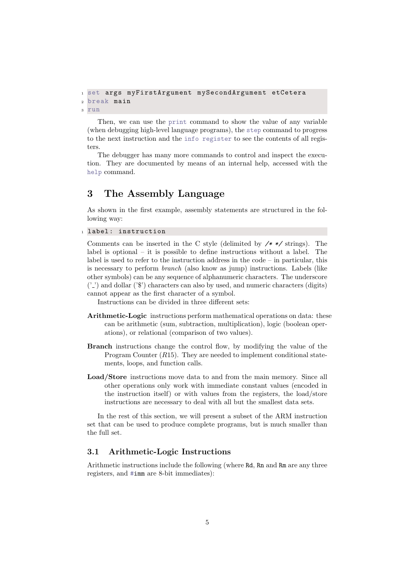```
1 set args myFirstArgument mySecondArgument etCetera
2 break main
3 run
```
Then, we can use the print command to show the value of any variable (when debugging high-level language programs), the step command to progress to the next instruction and the info register to see the contents of all registers.

The debugger has many more commands to control and inspect the execution. They are documented by means of an internal help, accessed with the help command.

# 3 The Assembly Language

As shown in the first example, assembly statements are structured in the following way:

1 label: instruction

Comments can be inserted in the C style (delimited by  $\angle$  \*  $\angle$  strings). The label is optional – it is possible to define instructions without a label. The label is used to refer to the instruction address in the code – in particular, this is necessary to perform branch (also know as jump) instructions. Labels (like other symbols) can be any sequence of alphanumeric characters. The underscore  $('')$  and dollar  $'$ ) characters can also by used, and numeric characters (digits) cannot appear as the first character of a symbol.

Instructions can be divided in three different sets:

- Arithmetic-Logic instructions perform mathematical operations on data: these can be arithmetic (sum, subtraction, multiplication), logic (boolean operations), or relational (comparison of two values).
- Branch instructions change the control flow, by modifying the value of the Program Counter (R15). They are needed to implement conditional statements, loops, and function calls.
- Load/Store instructions move data to and from the main memory. Since all other operations only work with immediate constant values (encoded in the instruction itself) or with values from the registers, the load/store instructions are necessary to deal with all but the smallest data sets.

In the rest of this section, we will present a subset of the ARM instruction set that can be used to produce complete programs, but is much smaller than the full set.

### 3.1 Arithmetic-Logic Instructions

Arithmetic instructions include the following (where Rd, Rn and Rm are any three registers, and #imm are 8-bit immediates):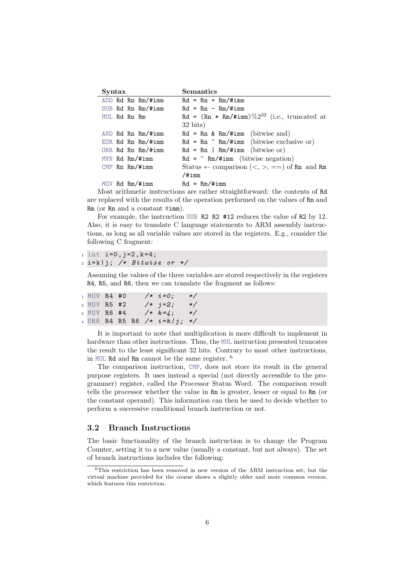| Syntax                 | <b>Semantics</b>                                          |
|------------------------|-----------------------------------------------------------|
| ADD Rd Rn Rm/#imm      | $Rd = Rn + Rm/#imm$                                       |
| SUB Rd Rn Rm/#imm      | $Rd = Rn - Rm/#imm$                                       |
| MUL Rd Rn Rm           | Rd = $(Rn * Rm/\text{\#imm})\%2^{32}$ (i.e., truncated at |
|                        | $32 \text{ bits}$                                         |
| AND Rd Rn Rm/#imm      | $Rd = Rn \& Rm/\#imm$ (bitwise and)                       |
| EOR $Rd$ Rn $Rm$ /#imm | $Rd = Rn$ $\hat{m}/\text{Himm}$ (bitwise exclusive or)    |
| ORR Rd Rn Rm/#imm      | $Rd = Rn$   $Rm/\#imm$ (bitwise or)                       |
| MVN Rd Rm/#imm         | $Rd = \text{Km}/\text{Himm}$ (bitwise negation)           |
| $CMP$ Rn $Rm/$ #imm    | Status $\leftarrow$ comparison $(<, >, ==)$ of Rn and Rm  |
|                        | $/$ #imm                                                  |
| MOV Rd Rm/#imm         | $Rd = Rm/#imm$                                            |

Most arithmetic instructions are rather straightforward: the contents of Rd are replaced with the results of the operation performed on the values of Rn and Rm (or Rn and a constant #imm).

For example, the instruction SUB R2 R2 #12 reduces the value of R2 by 12. Also, it is easy to translate C language statements to ARM assembly instructions, as long as all variable values are stored in the registers. E.g., consider the following C fragment:

```
i \in [1, 1] = 0, j = 2, k = 4;
```

```
2 i = k | j; \nless k Bitwise or */
```
Assuming the values of the three variables are stored respectively in the registers R4, R5, and R6, then we can translate the fragment as follows:

| 1 MOV R4 #0 |  |  | $/* i = 0;$                     | $*$     |
|-------------|--|--|---------------------------------|---------|
| 2 MOV R5 #2 |  |  | $/* j=2;$                       | $\ast/$ |
| 3 MOV R6 #4 |  |  | $/* k=4;$                       | $\ast/$ |
|             |  |  | 4 ORR R4 R5 R6 $/*$ $i=k/j; */$ |         |

It is important to note that multiplication is more difficult to implement in hardware than other instructions. Thus, the MUL instruction presented truncates the result to the least significant 32 bits. Contrary to most other instructions, in MUL Rd and Rm cannot be the same register. <sup>6</sup>

The comparison instruction, CMP, does not store its result in the general purpose registers. It uses instead a special (not directly accessible to the programmer) register, called the Processor Status Word. The comparison result tells the processor whether the value in Rn is greater, lesser or equal to Rm (or the constant operand). This information can then be used to decide whether to perform a successive conditional branch instruction or not.

# 3.2 Branch Instructions

The basic functionality of the branch instruction is to change the Program Counter, setting it to a new value (usually a constant, but not always). The set of branch instructions includes the following:

<sup>6</sup>This restriction has been removed in new version of the ARM instruction set, but the virtual machine provided for the course shows a slightly older and more common version, which features this restriction.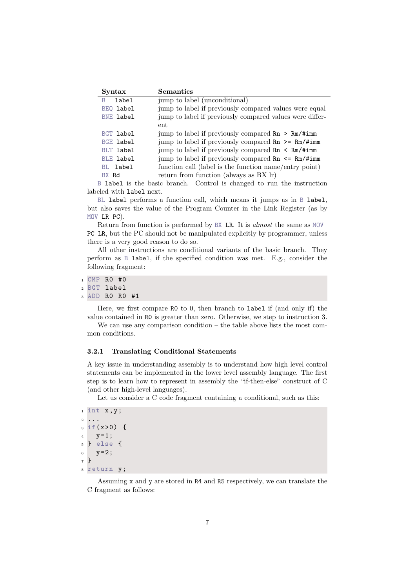| Syntax           | <b>Semantics</b>                                                            |  |  |  |  |  |  |
|------------------|-----------------------------------------------------------------------------|--|--|--|--|--|--|
| label<br>B       | jump to label (unconditional)                                               |  |  |  |  |  |  |
| BEQ label        | jump to label if previously compared values were equal                      |  |  |  |  |  |  |
| <b>BNE label</b> | jump to label if previously compared values were differ-                    |  |  |  |  |  |  |
|                  | ent                                                                         |  |  |  |  |  |  |
| BGT label        | jump to label if previously compared $\text{Rn} > \text{Rm}/\text{Himm}$    |  |  |  |  |  |  |
| <b>BGE label</b> | jump to label if previously compared $\text{Rn}$ >= $\text{Rm}/\text{#imm}$ |  |  |  |  |  |  |
| <b>BLT</b> label | jump to label if previously compared $\text{Rn} \leq \text{Rm}/\text{Himm}$ |  |  |  |  |  |  |
| <b>BLE label</b> | jump to label if previously compared $\text{Rn} \leq \text{Rm}/\text{Himm}$ |  |  |  |  |  |  |
| BL label         | function call (label is the function name/entry point)                      |  |  |  |  |  |  |
| BX Rd            | return from function (always as BX lr)                                      |  |  |  |  |  |  |

B label is the basic branch. Control is changed to run the instruction labeled with label next.

BL label performs a function call, which means it jumps as in B label, but also saves the value of the Program Counter in the Link Register (as by MOV LR PC).

Return from function is performed by BX LR. It is almost the same as MOV PC LR, but the PC should not be manipulated explicitly by programmer, unless there is a very good reason to do so.

All other instructions are conditional variants of the basic branch. They perform as B label, if the specified condition was met. E.g., consider the following fragment:

```
1 CMP RO #0
2 BGT label
```
<sup>3</sup> ADD R0 R0 #1

Here, we first compare R0 to 0, then branch to label if (and only if) the value contained in R0 is greater than zero. Otherwise, we step to instruction 3.

We can use any comparison condition – the table above lists the most common conditions.

#### 3.2.1 Translating Conditional Statements

A key issue in understanding assembly is to understand how high level control statements can be implemented in the lower level assembly language. The first step is to learn how to represent in assembly the "if-then-else" construct of C (and other high-level languages).

Let us consider a C code fragment containing a conditional, such as this:

```
i int x, y;2 ...
3 \text{ if } (x > 0) \in4 y = 1;5 } else {
6 y=2;7 }
8 return y ;
```
Assuming x and y are stored in R4 and R5 respectively, we can translate the C fragment as follows: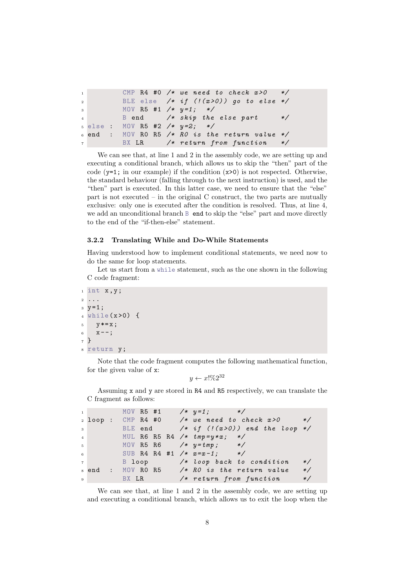```
\begin{array}{ccc} 1 & \text{CMP} & \text{R4} & \text{\#0} \end{array} /* we need to check x > 0 */
2 BLE else /* if (! (x > 0)) go to else */
3 MOV R5 #1 /* y=1; */
4 B end /* skip the else part */
5 else : MOV R5 #2 /* y=2; */
6 end : MOV RO R5 /* RO is the return value */
7 BX LR /* return from function */
```
We can see that, at line 1 and 2 in the assembly code, we are setting up and executing a conditional branch, which allows us to skip the "then" part of the code  $(y=1;$  in our example) if the condition  $(x>0)$  is not respected. Otherwise, the standard behaviour (falling through to the next instruction) is used, and the "then" part is executed. In this latter case, we need to ensure that the "else" part is not executed – in the original C construct, the two parts are mutually exclusive: only one is executed after the condition is resolved. Thus, at line 4, we add an unconditional branch B end to skip the "else" part and move directly to the end of the "if-then-else" statement.

#### 3.2.2 Translating While and Do-While Statements

Having understood how to implement conditional statements, we need now to do the same for loop statements.

Let us start from a while statement, such as the one shown in the following C code fragment:

```
i int x, y;
2 ...
3 \text{ } y = 1;4 while (x>0) {
5 \text{ } y * = x ;6 X = -;
7 }
s return y;
```
Note that the code fragment computes the following mathematical function, for the given value of x:

 $y \leftarrow x! \% 2^{32}$ 

Assuming x and y are stored in R4 and R5 respectively, we can translate the C fragment as follows:

|                |                     |  |  |  | 1 MOV R5 #1 $/* y=1;$ */                        |                      |
|----------------|---------------------|--|--|--|-------------------------------------------------|----------------------|
|                |                     |  |  |  | $_2$ loop: CMP R4 #0 /* we need to check $x>0$  | $*$                  |
| $\overline{3}$ |                     |  |  |  | BLE end $/* if ('x>0))$ end the loop $*/$       |                      |
| 4 <sup>1</sup> |                     |  |  |  | MUL R6 R5 R4 $/*$ $tmp=y*x;$ $*/$               |                      |
| $5-1$          |                     |  |  |  | MOV R5 R6 $/*$ $y = tmp;$ $*/$                  |                      |
| 6 <sup>1</sup> |                     |  |  |  | SUB R4 R4 #1 $/* x=x-1;$ */                     |                      |
| 7 <sup>1</sup> |                     |  |  |  | B loop /* loop back to condition                | $*$                  |
|                |                     |  |  |  | $s$ end : $MOV$ RO R5 /* RO is the return value | $\ast/$              |
|                | $9 \t\t BX \t\t LR$ |  |  |  | $/*$ return from function                       | $\frac{*}{\sqrt{2}}$ |

We can see that, at line 1 and 2 in the assembly code, we are setting up and executing a conditional branch, which allows us to exit the loop when the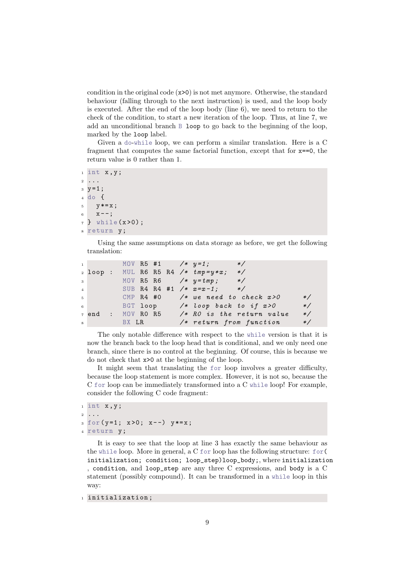condition in the original code  $(x>0)$  is not met anymore. Otherwise, the standard behaviour (falling through to the next instruction) is used, and the loop body is executed. After the end of the loop body (line 6), we need to return to the check of the condition, to start a new iteration of the loop. Thus, at line 7, we add an unconditional branch B loop to go back to the beginning of the loop, marked by the loop label.

Given a do-while loop, we can perform a similar translation. Here is a C fragment that computes the same factorial function, except that for  $x == 0$ , the return value is 0 rather than 1.

```
i int x, y;2 ...
3 \text{ } y = 1;4 do {
     y \ast = x;
6 \times -;
, 7 } while (x > 0);
s return y;
```
Using the same assumptions on data storage as before, we get the following translation:

|       |         |  |  |  | $1$ MOV R5 #1 /* $y=1$ ;                                        | $*$ /                                            |         |
|-------|---------|--|--|--|-----------------------------------------------------------------|--------------------------------------------------|---------|
|       |         |  |  |  | 2 loop: MUL R6 R5 R4 $/*$ $tmp=y*x;$                            | $*$                                              |         |
| $3-1$ |         |  |  |  | MOV R5 R6 $\frac{y}{x}$ + mp; */                                |                                                  |         |
|       |         |  |  |  | 4 SUB R4 R4 #1 $/* x=x-1;$ */                                   |                                                  |         |
|       |         |  |  |  |                                                                 | $5$ CMP R4 #0 /* we need to check $x>0$          | $\ast/$ |
|       |         |  |  |  | $\overline{6}$ BGT loop $\overline{6}$ /* loop back to if $x>0$ |                                                  | $\ast/$ |
|       |         |  |  |  |                                                                 | $\tau$ end : MOV RO R5 /* RO is the return value | $*/$    |
|       | 8 BX LR |  |  |  |                                                                 | $/*$ return from function                        | $*/$    |

The only notable difference with respect to the while version is that it is now the branch back to the loop head that is conditional, and we only need one branch, since there is no control at the beginning. Of course, this is because we do not check that x>0 at the beginning of the loop.

It might seem that translating the for loop involves a greater difficulty, because the loop statement is more complex. However, it is not so, because the C for loop can be immediately transformed into a C while loop! For example, consider the following C code fragment:

```
1 int x, y;
2 ...
3 \text{ for } (y=1; x>0; x--) y*=x;4 return y;
```
It is easy to see that the loop at line 3 has exactly the same behaviour as the while loop. More in general, a C for loop has the following structure: for( initialization; condition; loop\_step)loop\_body;, where initialization , condition, and loop\_step are any three C expressions, and body is a C statement (possibly compound). It can be transformed in a while loop in this way:

```
1 initialization;
```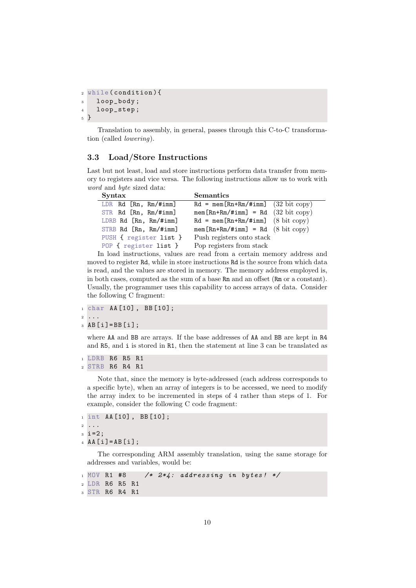```
2 while ( condition ) {
3 loop_body ;
4 loop_step ;
5 }
```
Translation to assembly, in general, passes through this C-to-C transformation (called lowering).

# 3.3 Load/Store Instructions

Last but not least, load and store instructions perform data transfer from memory to registers and vice versa. The following instructions allow us to work with word and byte sized data:

| Syntax                     | <b>Semantics</b>                                        |  |  |  |  |
|----------------------------|---------------------------------------------------------|--|--|--|--|
| LDR $Rd$ $[Rn, Rm/#imm]$   | $Rd = \text{mem} [Rn + Rm / \text{#imm}]$ (32 bit copy) |  |  |  |  |
| $STR$ Rd $[Rn, Rm/#imm]$   | $mem [Rn+Rm/#imm] = Rd (32 bit copy)$                   |  |  |  |  |
| LDRB $Rd$ $[Rn, Rm/\#imm]$ | $Rd = mem[Rn+Rm/#imm]$ (8 bit copy)                     |  |  |  |  |
| STRB $Rd$ $[Rn, Rm/#imm]$  | $mem [Rn+Rm/#imm] = Rd (8 bit copy)$                    |  |  |  |  |
| PUSH { register list }     | Push registers onto stack                               |  |  |  |  |
| POP { register list }      | Pop registers from stack                                |  |  |  |  |

In load instructions, values are read from a certain memory address and moved to register Rd, while in store instructions Rd is the source from which data is read, and the values are stored in memory. The memory address employed is, in both cases, computed as the sum of a base Rn and an offset (Rm or a constant). Usually, the programmer uses this capability to access arrays of data. Consider the following C fragment:

<sup>1</sup> char AA [10] , BB [10];

```
2 ...
3 AB [ i ]= BB [ i ];
```
where AA and BB are arrays. If the base addresses of AA and BB are kept in R4 and R5, and i is stored in R1, then the statement at line 3 can be translated as

```
1 LDRB R6 R5 R1
2 STRB R6 R4 R1
```
Note that, since the memory is byte-addressed (each address corresponds to a specific byte), when an array of integers is to be accessed, we need to modify the array index to be incremented in steps of 4 rather than steps of 1. For example, consider the following C code fragment:

```
1 int AA [10] , BB [10];
2 ...
3 \text{ i } = 2;A A [i] = AB [i];
```
The corresponding ARM assembly translation, using the same storage for addresses and variables, would be:

```
_1 MOV R1 #8 /* 2*4: addressing in bytes! */
2 LDR R6 R5 R1
3 STR R6 R4 R1
```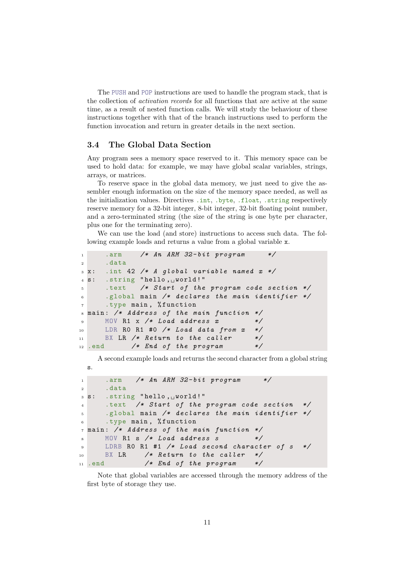The PUSH and POP instructions are used to handle the program stack, that is the collection of activation records for all functions that are active at the same time, as a result of nested function calls. We will study the behaviour of these instructions together with that of the branch instructions used to perform the function invocation and return in greater details in the next section.

### 3.4 The Global Data Section

Any program sees a memory space reserved to it. This memory space can be used to hold data: for example, we may have global scalar variables, strings, arrays, or matrices.

To reserve space in the global data memory, we just need to give the assembler enough information on the size of the memory space needed, as well as the initialization values. Directives .int, .byte, .float, .string respectively reserve memory for a 32-bit integer, 8-bit integer, 32-bit floating point number, and a zero-terminated string (the size of the string is one byte per character, plus one for the terminating zero).

We can use the load (and store) instructions to access such data. The following example loads and returns a value from a global variable x.

```
1 .arm /* An ARM 32-bit program *2 .data
3 \times: .int 42 /* A global variable named x \neq4 s: .string "hello, world!"
5 .text /* Start of the program code section */
6 .global main /* declares the main identifier */
7 .type main , % function
s main: /* Address of the main function */9 MOV R1 x /* Load address x */10 LDR RO R1 #0 /* Load data from x */
11 BX LR /* Return to the caller */
12 .end /* End of the program */
```
A second example loads and returns the second character from a global string s.

```
1 .arm /* An ARM 32-bit program *2 .data
3 s: .string "hello, \cup world!"
4 .text /* Start of the program code section */
5 .global main /* declares the main identifier */
6 .type main, % function
7 main : /* Address of the main function */
\mathbb{N} 8 MOV R1 s /* Load address s \mathbb{N}9 LDRB RO R1 #1 /* Load second character of s */
10 BX LR /* Return to the caller */
11 .end /* End of the program */
```
Note that global variables are accessed through the memory address of the first byte of storage they use.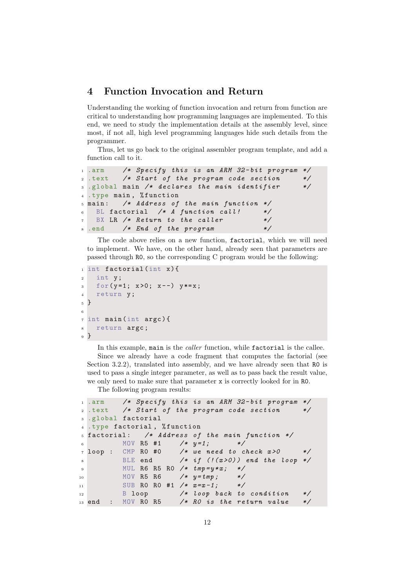# 4 Function Invocation and Return

Understanding the working of function invocation and return from function are critical to understanding how programming languages are implemented. To this end, we need to study the implementation details at the assembly level, since most, if not all, high level programming languages hide such details from the programmer.

Thus, let us go back to the original assembler program template, and add a function call to it.

```
.arm /* Specify this is an ARM 32-bit program */2 .text /* Start of the program code section */
3 .global main /* declares the main identifier */
 .type main, %function
5 main : /* Address of the main function */
6 BL factorial /* A function call! */7 BX LR /* Return to the caller */
8 .end /* End of the program */
```
The code above relies on a new function, factorial, which we will need to implement. We have, on the other hand, already seen that parameters are passed through R0, so the corresponding C program would be the following:

```
_1 int factorial (int x) {
2 int y;
\text{for}(y=1; x>0; x--) y*=x;4 return y;
5 }
6
\frac{7}{7} int main (int argc) {
s return argc;
9 }
```
In this example, main is the *caller* function, while factorial is the callee. Since we already have a code fragment that computes the factorial (see Section 3.2.2), translated into assembly, and we have already seen that R0 is used to pass a single integer parameter, as well as to pass back the result value, we only need to make sure that parameter x is correctly looked for in R0.

The following program results:

```
1 .arm /* Specify this is an ARM 32-bit program */
2. text /* Start of the program code section */
3 .global factorial
4 .type factorial , % function
5 factorial: /* Address of the main function */6 MOV R5 #1 /* y=1; */\tau loop : CMP RO #0 /* we need to check x > 0 */
8 BLE end /* if (!(x>0)) end the loop */
9 MUL R6 R5 R0 /* tmp=y*x; */10 MOV R5 R6 /* y = tmp ; */11 SUB RO RO #1 /* x=x-1; */
12 B loop /* loop back to condition */
13 end : MOV RO R5 /* RO is the return value */
```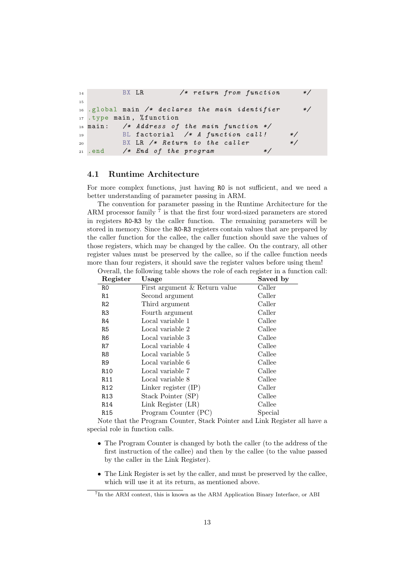```
14 BX LR /* return from function */
15
16 .global main /* declares the main identifier */
17 .type main, %function
18 main: /* Address of the main function */
19 BL factorial /* A function call! */20 BX LR /* Return to the caller */21 . end /* End of the program
```
#### 4.1 Runtime Architecture

For more complex functions, just having R0 is not sufficient, and we need a better understanding of parameter passing in ARM.

The convention for parameter passing in the Runtime Architecture for the ARM processor family <sup>7</sup> is that the first four word-sized parameters are stored in registers R0-R3 by the caller function. The remaining parameters will be stored in memory. Since the R0-R3 registers contain values that are prepared by the caller function for the callee, the caller function should save the values of those registers, which may be changed by the callee. On the contrary, all other register values must be preserved by the callee, so if the callee function needs more than four registers, it should save the register values before using them! Overall, the following table shows the role of each register in a function call:

| Register        | Usage                         | Saved by |
|-----------------|-------------------------------|----------|
| R0              | First argument & Return value | Caller   |
| R1              | Second argument               | Caller   |
| R2              | Third argument                | Caller   |
| R3              | Fourth argument               | Caller   |
| R4              | Local variable 1              | Callee   |
| R5              | Local variable 2              | Callee   |
| R6              | Local variable 3              | Callee   |
| R7              | Local variable 4              | Callee   |
| R8              | Local variable 5              | Callee   |
| R9              | Local variable 6              | Callee   |
| R <sub>10</sub> | Local variable 7              | Callee   |
| R11             | Local variable 8              | Callee   |
| R <sub>12</sub> | Linker register $(IP)$        | Caller   |
| R <sub>13</sub> | Stack Pointer (SP)            | Callee   |
| R <sub>14</sub> | Link Register (LR)            | Callee   |
| R15             | Program Counter (PC)          | Special  |

Note that the Program Counter, Stack Pointer and Link Register all have a special role in function calls.

- The Program Counter is changed by both the caller (to the address of the first instruction of the callee) and then by the callee (to the value passed by the caller in the Link Register).
- The Link Register is set by the caller, and must be preserved by the callee, which will use it at its return, as mentioned above.

<sup>&</sup>lt;sup>7</sup>In the ARM context, this is known as the ARM Application Binary Interface, or ABI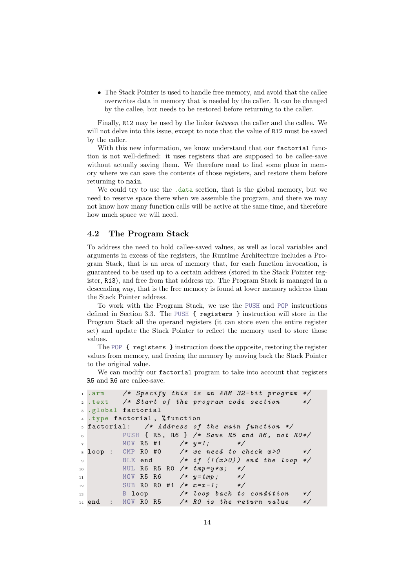• The Stack Pointer is used to handle free memory, and avoid that the callee overwrites data in memory that is needed by the caller. It can be changed by the callee, but needs to be restored before returning to the caller.

Finally, R12 may be used by the linker between the caller and the callee. We will not delve into this issue, except to note that the value of R12 must be saved by the caller.

With this new information, we know understand that our factorial function is not well-defined: it uses registers that are supposed to be callee-save without actually saving them. We therefore need to find some place in memory where we can save the contents of those registers, and restore them before returning to main.

We could try to use the .data section, that is the global memory, but we need to reserve space there when we assemble the program, and there we may not know how many function calls will be active at the same time, and therefore how much space we will need.

### 4.2 The Program Stack

To address the need to hold callee-saved values, as well as local variables and arguments in excess of the registers, the Runtime Architecture includes a Program Stack, that is an area of memory that, for each function invocation, is guaranteed to be used up to a certain address (stored in the Stack Pointer register, R13), and free from that address up. The Program Stack is managed in a descending way, that is the free memory is found at lower memory address than the Stack Pointer address.

To work with the Program Stack, we use the PUSH and POP instructions defined in Section 3.3. The PUSH { registers } instruction will store in the Program Stack all the operand registers (it can store even the entire register set) and update the Stack Pointer to reflect the memory used to store those values.

The POP { registers } instruction does the opposite, restoring the register values from memory, and freeing the memory by moving back the Stack Pointer to the original value.

We can modify our factorial program to take into account that registers R5 and R6 are callee-save.

```
1 .arm /* Specify this is an ARM 32-bit program */
2 .text /* Start of the program code section */
 .global factorial
4 .type factorial , % function
_5 factorial: /* Address of the main function */
6 PUSH { R5, R6 } /* Save R5 and R6, not RO*/
7 MOV R5 #1 /* y =1; */
 \text{loop} : CMP R0 #0 /* we need to check x > 0 */
9 BLE end /* if ('x>0)) end the loop
10 MUL R6 R5 R0 /* tmp=y*x; */11 MOV R5 R6 /* y = tmp; */
12 SUB RO RO #1 /* x=x-1; */
13 B loop /* loop back to condition */
14 end : MOV RO R5 /* RO is the return value */
```